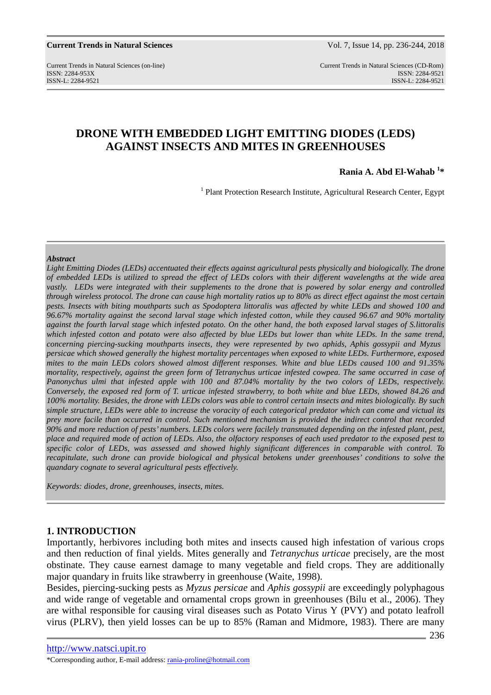Current Trends in Natural Sciences (on-line) Current Trends in Natural Sciences (CD-Rom) ISSN: 2284-953XISSN: 2284-9521 ISSN-L: 2284-9521 ISSN-L: 2284-9521

# **DRONE WITH EMBEDDED LIGHT EMITTING DIODES (LEDS) AGAINST INSECTS AND MITES IN GREENHOUSES**

**Rania A. Abd El-Wahab <sup>1</sup> \*** 

<sup>1</sup> Plant Protection Research Institute, Agricultural Research Center, Egypt

### *Abstract*

*Light Emitting Diodes (LEDs) accentuated their effects against agricultural pests physically and biologically. The drone of embedded LEDs is utilized to spread the effect of LEDs colors with their different wavelengths at the wide area vastly. LEDs were integrated with their supplements to the drone that is powered by solar energy and controlled through wireless protocol. The drone can cause high mortality ratios up to 80% as direct effect against the most certain pests. Insects with biting mouthparts such as Spodoptera littoralis was affected by white LEDs and showed 100 and 96.67% mortality against the second larval stage which infested cotton, while they caused 96.67 and 90% mortality against the fourth larval stage which infested potato. On the other hand, the both exposed larval stages of S.littoralis*  which infested cotton and potato were also affected by blue LEDs but lower than white LEDs. In the same trend, *concerning piercing-sucking mouthparts insects, they were represented by two aphids, Aphis gossypii and Myzus persicae which showed generally the highest mortality percentages when exposed to white LEDs. Furthermore, exposed mites to the main LEDs colors showed almost different responses. White and blue LEDs caused 100 and 91.35% mortality, respectively, against the green form of Tetranychus urticae infested cowpea. The same occurred in case of Panonychus ulmi that infested apple with 100 and 87.04% mortality by the two colors of LEDs, respectively. Conversely, the exposed red form of T. urticae infested strawberry, to both white and blue LEDs, showed 84.26 and 100% mortality. Besides, the drone with LEDs colors was able to control certain insects and mites biologically. By such simple structure, LEDs were able to increase the voracity of each categorical predator which can come and victual its prey more facile than occurred in control. Such mentioned mechanism is provided the indirect control that recorded 90% and more reduction of pests' numbers. LEDs colors were facilely transmuted depending on the infested plant, pest, place and required mode of action of LEDs. Also, the olfactory responses of each used predator to the exposed pest to specific color of LEDs, was assessed and showed highly significant differences in comparable with control. To recapitulate, such drone can provide biological and physical betokens under greenhouses' conditions to solve the quandary cognate to several agricultural pests effectively.* 

*Keywords: diodes, drone, greenhouses, insects, mites.* 

### **1. INTRODUCTION**

Importantly, herbivores including both mites and insects caused high infestation of various crops and then reduction of final yields. Mites generally and *Tetranychus urticae* precisely, are the most obstinate. They cause earnest damage to many vegetable and field crops. They are additionally major quandary in fruits like strawberry in greenhouse (Waite, 1998).

Besides, piercing-sucking pests as *Myzus persicae* and *Aphis gossypii* are exceedingly polyphagous and wide range of vegetable and ornamental crops grown in greenhouses (Bilu et al., 2006). They are withal responsible for causing viral diseases such as Potato Virus Y (PVY) and potato leafroll virus (PLRV), then yield losses can be up to 85% (Raman and Midmore, 1983). There are many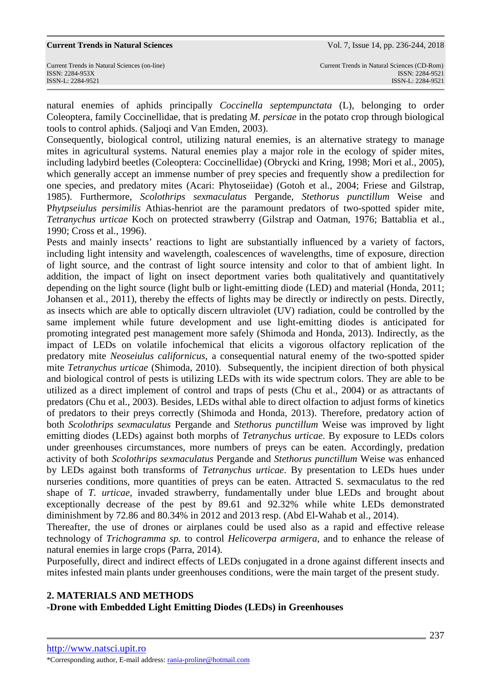#### **Current Trends in Natural Sciences………………………………………………...**Vol. 7, Issue 14, pp. 236-244, 2018

natural enemies of aphids principally *Coccinella septempunctata* (L), belonging to order Coleoptera, family Coccinellidae, that is predating *M. persicae* in the potato crop through biological tools to control aphids. (Saljoqi and Van Emden, 2003).

Consequently, biological control, utilizing natural enemies, is an alternative strategy to manage mites in agricultural systems. Natural enemies play a major role in the ecology of spider mites, including ladybird beetles (Coleoptera: Coccinellidae) (Obrycki and Kring, 1998; Mori et al., 2005), which generally accept an immense number of prey species and frequently show a predilection for one species, and predatory mites (Acari: Phytoseiidae) (Gotoh et al., 2004; Friese and Gilstrap, 1985). Furthermore, *Scolothrips sexmaculatus* Pergande, *Stethorus punctillum* Weise and P*hytpseiulus persimilis* Athias-henriot are the paramount predators of two-spotted spider mite, *Tetranychus urticae* Koch on protected strawberry (Gilstrap and Oatman, 1976; Battablia et al., 1990; Cross et al., 1996).

Pests and mainly insects' reactions to light are substantially influenced by a variety of factors, including light intensity and wavelength, coalescences of wavelengths, time of exposure, direction of light source, and the contrast of light source intensity and color to that of ambient light. In addition, the impact of light on insect deportment varies both qualitatively and quantitatively depending on the light source (light bulb or light-emitting diode (LED) and material (Honda, 2011; Johansen et al., 2011), thereby the effects of lights may be directly or indirectly on pests. Directly, as insects which are able to optically discern ultraviolet (UV) radiation, could be controlled by the same implement while future development and use light-emitting diodes is anticipated for promoting integrated pest management more safely (Shimoda and Honda, 2013). Indirectly, as the impact of LEDs on volatile infochemical that elicits a vigorous olfactory replication of the predatory mite *Neoseiulus californicus*, a consequential natural enemy of the two-spotted spider mite *Tetranychus urticae* (Shimoda, 2010). Subsequently, the incipient direction of both physical and biological control of pests is utilizing LEDs with its wide spectrum colors. They are able to be utilized as a direct implement of control and traps of pests (Chu et al., 2004) or as attractants of predators (Chu et al., 2003). Besides, LEDs withal able to direct olfaction to adjust forms of kinetics of predators to their preys correctly (Shimoda and Honda, 2013). Therefore, predatory action of both *Scolothrips sexmaculatus* Pergande and *Stethorus punctillum* Weise was improved by light emitting diodes (LEDs) against both morphs of *Tetranychus urticae*. By exposure to LEDs colors under greenhouses circumstances, more numbers of preys can be eaten. Accordingly, predation activity of both *Scolothrips sexmaculatus* Pergande and *Stethorus punctillum* Weise was enhanced by LEDs against both transforms of *Tetranychus urticae*. By presentation to LEDs hues under nurseries conditions, more quantities of preys can be eaten. Attracted S. sexmaculatus to the red shape of *T. urticae*, invaded strawberry, fundamentally under blue LEDs and brought about exceptionally decrease of the pest by 89.61 and 92.32% while white LEDs demonstrated diminishment by 72.86 and 80.34% in 2012 and 2013 resp. (Abd El-Wahab et al., 2014).

Thereafter, the use of drones or airplanes could be used also as a rapid and effective release technology of *Trichogramma sp.* to control *Helicoverpa armigera*, and to enhance the release of natural enemies in large crops (Parra, 2014).

Purposefully, direct and indirect effects of LEDs conjugated in a drone against different insects and mites infested main plants under greenhouses conditions, were the main target of the present study.

# **2. MATERIALS AND METHODS**

**-Drone with Embedded Light Emitting Diodes (LEDs) in Greenhouses**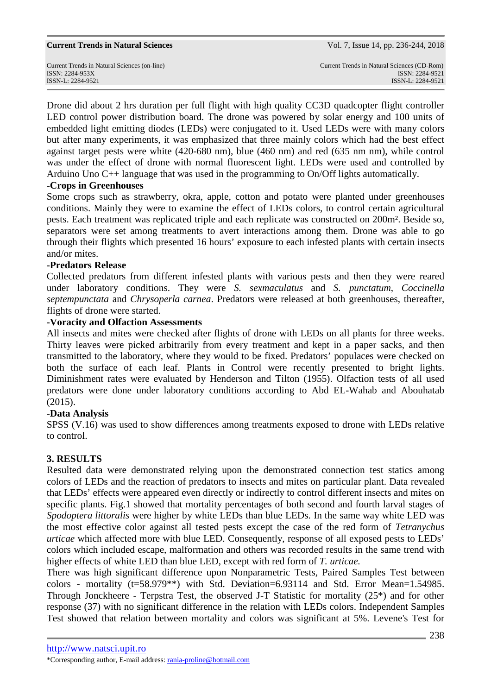Drone did about 2 hrs duration per full flight with high quality CC3D quadcopter flight controller LED control power distribution board. The drone was powered by solar energy and 100 units of embedded light emitting diodes (LEDs) were conjugated to it. Used LEDs were with many colors but after many experiments, it was emphasized that three mainly colors which had the best effect against target pests were white (420-680 nm), blue (460 nm) and red (635 nm nm), while control was under the effect of drone with normal fluorescent light. LEDs were used and controlled by Arduino Uno C++ language that was used in the programming to On/Off lights automatically.

## **-Crops in Greenhouses**

Some crops such as strawberry, okra, apple, cotton and potato were planted under greenhouses conditions. Mainly they were to examine the effect of LEDs colors, to control certain agricultural pests. Each treatment was replicated triple and each replicate was constructed on 200m². Beside so, separators were set among treatments to avert interactions among them. Drone was able to go through their flights which presented 16 hours' exposure to each infested plants with certain insects and/or mites.

## **-Predators Release**

Collected predators from different infested plants with various pests and then they were reared under laboratory conditions. They were *S. sexmaculatus* and *S. punctatum*, *Coccinella septempunctata* and *Chrysoperla carnea*. Predators were released at both greenhouses, thereafter, flights of drone were started.

## **-Voracity and Olfaction Assessments**

All insects and mites were checked after flights of drone with LEDs on all plants for three weeks. Thirty leaves were picked arbitrarily from every treatment and kept in a paper sacks, and then transmitted to the laboratory, where they would to be fixed. Predators' populaces were checked on both the surface of each leaf. Plants in Control were recently presented to bright lights. Diminishment rates were evaluated by Henderson and Tilton (1955). Olfaction tests of all used predators were done under laboratory conditions according to Abd EL-Wahab and Abouhatab (2015).

# **-Data Analysis**

SPSS (V.16) was used to show differences among treatments exposed to drone with LEDs relative to control.

# **3. RESULTS**

Resulted data were demonstrated relying upon the demonstrated connection test statics among colors of LEDs and the reaction of predators to insects and mites on particular plant. Data revealed that LEDs' effects were appeared even directly or indirectly to control different insects and mites on specific plants. Fig.1 showed that mortality percentages of both second and fourth larval stages of *Spodoptera littoralis* were higher by white LEDs than blue LEDs. In the same way white LED was the most effective color against all tested pests except the case of the red form of *Tetranychus urticae* which affected more with blue LED. Consequently, response of all exposed pests to LEDs' colors which included escape, malformation and others was recorded results in the same trend with higher effects of white LED than blue LED, except with red form of *T. urticae.*

There was high significant difference upon Nonparametric Tests, Paired Samples Test between colors - mortality (t=58.979\*\*) with Std. Deviation=6.93114 and Std. Error Mean=1.54985. Through Jonckheere - Terpstra Test, the observed J-T Statistic for mortality (25\*) and for other response (37) with no significant difference in the relation with LEDs colors. Independent Samples Test showed that relation between mortality and colors was significant at 5%. Levene's Test for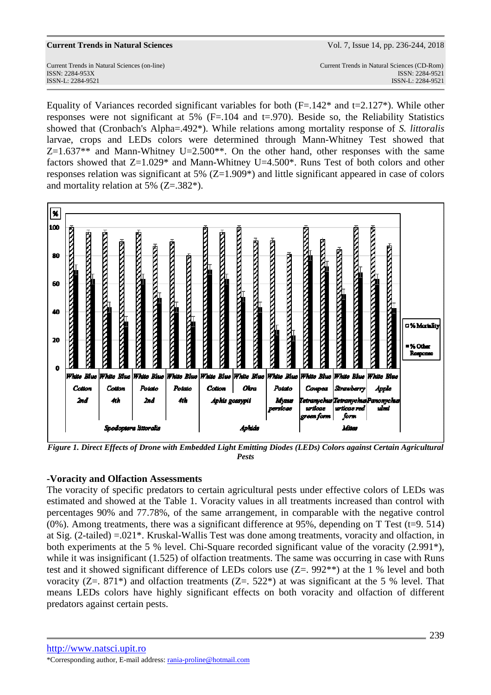Current Trends in Natural Sciences (on-line) Current Trends in Natural Sciences (CD-Rom) ISSN: 2284-953XISSN: 2284-9521 ISSN-L: 2284-9521 ISSN-L: 2284-9521

Equality of Variances recorded significant variables for both  $(F=.142^*)$  and  $t=.127^*)$ . While other responses were not significant at 5% (F=.104 and t=.970). Beside so, the Reliability Statistics showed that (Cronbach's Alpha=.492\*). While relations among mortality response of *S. littoralis* larvae, crops and LEDs colors were determined through Mann-Whitney Test showed that  $Z=1.637**$  and Mann-Whitney U=2.500<sup>\*\*</sup>. On the other hand, other responses with the same factors showed that  $Z=1.029*$  and Mann-Whitney U=4.500\*. Runs Test of both colors and other responses relation was significant at 5% (Z=1.909\*) and little significant appeared in case of colors and mortality relation at 5% (Z=.382\*).



*Figure 1. Direct Effects of Drone with Embedded Light Emitting Diodes (LEDs) Colors against Certain Agricultural Pests* 

# **-Voracity and Olfaction Assessments**

The voracity of specific predators to certain agricultural pests under effective colors of LEDs was estimated and showed at the Table 1. Voracity values in all treatments increased than control with percentages 90% and 77.78%, of the same arrangement, in comparable with the negative control  $(0\%)$ . Among treatments, there was a significant difference at 95%, depending on T Test (t=9. 514) at Sig. (2-tailed) =.021\*. Kruskal-Wallis Test was done among treatments, voracity and olfaction, in both experiments at the 5 % level. Chi-Square recorded significant value of the voracity (2.991\*), while it was insignificant (1.525) of olfaction treatments. The same was occurring in case with Runs test and it showed significant difference of LEDs colors use (Z=. 992\*\*) at the 1 % level and both voracity ( $Z = 871^*$ ) and olfaction treatments ( $Z = 522^*$ ) at was significant at the 5 % level. That means LEDs colors have highly significant effects on both voracity and olfaction of different predators against certain pests.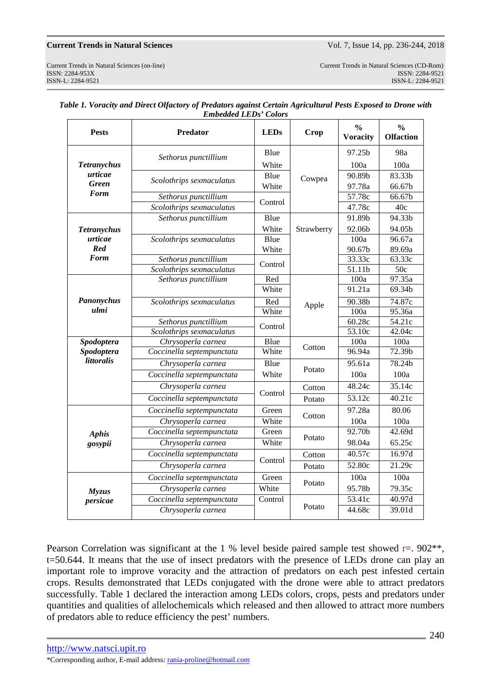### **Current Trends in Natural Sciences** 2018 Vol. 7, Issue 14, pp. 236-244, 2018

| <b>Pests</b>                | <b>Predator</b>           | <b>LEDs</b>   | Crop       | $\frac{0}{0}$<br><b>Voracity</b> | $\frac{0}{0}$<br><b>Olfaction</b> |
|-----------------------------|---------------------------|---------------|------------|----------------------------------|-----------------------------------|
| <b>Tetranychus</b>          | Sethorus punctillium      | Blue          | Cowpea     | 97.25b                           | 98a                               |
|                             |                           | White         |            | 100a                             | 100a                              |
| urticae                     | Scolothrips sexmaculatus  | Blue          |            | 90.89b                           | 83.33b                            |
| <b>Green</b><br><b>Form</b> |                           | White         |            | 97.78a                           | 66.67b                            |
|                             | Sethorus punctillium      | Control       |            | 57.78c                           | 66.67b                            |
|                             | Scolothrips sexmaculatus  |               |            | 47.78c                           | 40c                               |
|                             | Sethorus punctillium      | Blue          |            | 91.89b                           | 94.33 <sub>b</sub>                |
| <b>Tetranychus</b>          |                           | White         | Strawberry | 92.06b                           | 94.05b                            |
| urticae                     | Scolothrips sexmaculatus  | Blue          |            | 100a                             | 96.67a                            |
| Red                         |                           | White         |            | 90.67b                           | 89.69a                            |
| <b>Form</b>                 | Sethorus punctillium      | Control       |            | 33.33c                           | 63.33c                            |
|                             | Scolothrips sexmaculatus  |               |            | 51.11b                           | $\overline{50c}$                  |
| Panonychus<br>ulmi          | Sethorus punctillium      | Red           |            | 100a                             | 97.35a                            |
|                             |                           | White         |            | 91.21a                           | 69.34b                            |
|                             | Scolothrips sexmaculatus  | Red           | Apple      | 90.38b                           | 74.87c                            |
|                             |                           | White         |            | 100a                             | 95.36a                            |
|                             | Sethorus punctillium      | Control       | Cotton     | 60.28c                           | 54.21c                            |
|                             | Scolothrips sexmaculatus  |               |            | 53.10c                           | 42.04c                            |
| Spodoptera<br>Spodoptera    | Chrysoperla carnea        | Blue<br>White |            | 100a<br>96.94a                   | 100a<br>72.39b                    |
| <i>littoralis</i>           | Coccinella septempunctata |               |            |                                  |                                   |
|                             | Chrysoperla carnea        | Blue          | Potato     | 95.61a                           | 78.24b                            |
|                             | Coccinella septempunctata | White         |            | 100a                             | 100a                              |
|                             | Chrysoperla carnea        | Control       | Cotton     | 48.24c                           | 35.14c                            |
|                             | Coccinella septempunctata |               | Potato     | 53.12c                           | 40.21c                            |
| <b>Aphis</b><br>gosypii     | Coccinella septempunctata | Green         | Cotton     | 97.28a                           | 80.06                             |
|                             | Chrysoperla carnea        | White         |            | 100a                             | 100a                              |
|                             | Coccinella septempunctata | Green         | Potato     | 92.70b                           | 42.69d                            |
|                             | Chrysoperla carnea        | White         |            | 98.04a                           | 65.25c                            |
|                             | Coccinella septempunctata |               | Cotton     | 40.57c                           | 16.97d                            |
|                             | Chrysoperla carnea        | Control       | Potato     | 52.80c                           | 21.29c                            |
|                             | Coccinella septempunctata | Green         | Potato     | 100a                             | 100a                              |
| <b>Myzus</b>                | Chrysoperla carnea        | White         |            | 95.78b                           | 79.35c                            |
| persicae                    | Coccinella septempunctata | Control       | Potato     | 53.41c                           | 40.97d                            |
|                             | Chrysoperla carnea        |               |            | 44.68c                           | 39.01d                            |

| Table 1. Voracity and Direct Olfactory of Predators against Certain Agricultural Pests Exposed to Drone with |
|--------------------------------------------------------------------------------------------------------------|
| <b>Embedded LEDs' Colors</b>                                                                                 |

Pearson Correlation was significant at the 1 % level beside paired sample test showed  $r = 0.902**$ , t=50.644. It means that the use of insect predators with the presence of LEDs drone can play an important role to improve voracity and the attraction of predators on each pest infested certain crops. Results demonstrated that LEDs conjugated with the drone were able to attract predators successfully. Table 1 declared the interaction among LEDs colors, crops, pests and predators under quantities and qualities of allelochemicals which released and then allowed to attract more numbers of predators able to reduce efficiency the pest' numbers*.*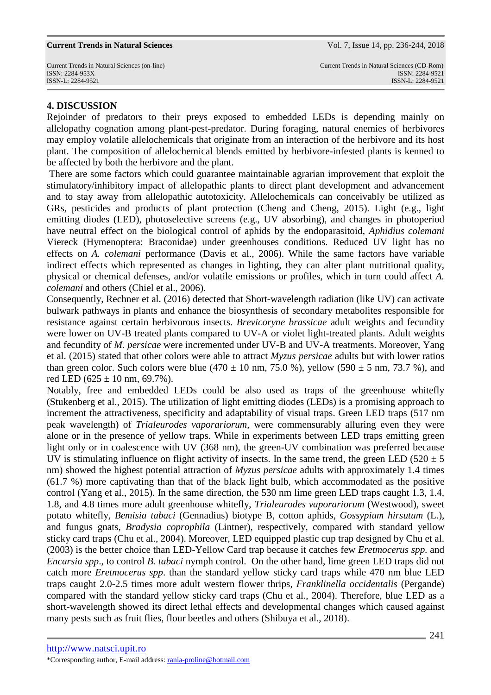#### **Current Trends in Natural Sciences………………………………………………...**Vol. 7, Issue 14, pp. 236-244, 2018

## **4. DISCUSSION**

Rejoinder of predators to their preys exposed to embedded LEDs is depending mainly on allelopathy cognation among plant-pest-predator. During foraging, natural enemies of herbivores may employ volatile allelochemicals that originate from an interaction of the herbivore and its host plant. The composition of allelochemical blends emitted by herbivore-infested plants is kenned to be affected by both the herbivore and the plant.

 There are some factors which could guarantee maintainable agrarian improvement that exploit the stimulatory/inhibitory impact of allelopathic plants to direct plant development and advancement and to stay away from allelopathic autotoxicity. Allelochemicals can conceivably be utilized as GRs, pesticides and products of plant protection (Cheng and Cheng, 2015). Light (e.g., light emitting diodes (LED), photoselective screens (e.g., UV absorbing), and changes in photoperiod have neutral effect on the biological control of aphids by the endoparasitoid, *Aphidius colemani* Viereck (Hymenoptera: Braconidae) under greenhouses conditions. Reduced UV light has no effects on *A. colemani* performance (Davis et al., 2006). While the same factors have variable indirect effects which represented as changes in lighting, they can alter plant nutritional quality, physical or chemical defenses, and/or volatile emissions or profiles, which in turn could affect *A. colemani* and others (Chiel et al., 2006)*.*

Consequently, Rechner et al. (2016) detected that Short-wavelength radiation (like UV) can activate bulwark pathways in plants and enhance the biosynthesis of secondary metabolites responsible for resistance against certain herbivorous insects. *Brevicoryne brassicae* adult weights and fecundity were lower on UV-B treated plants compared to UV-A or violet light-treated plants. Adult weights and fecundity of *M. persicae* were incremented under UV-B and UV-A treatments. Moreover, Yang et al. (2015) stated that other colors were able to attract *Myzus persicae* adults but with lower ratios than green color. Such colors were blue (470  $\pm$  10 nm, 75.0 %), yellow (590  $\pm$  5 nm, 73.7 %), and red LED (625  $\pm$  10 nm, 69.7%).

Notably, free and embedded LEDs could be also used as traps of the greenhouse whitefly (Stukenberg et al.*,* 2015). The utilization of light emitting diodes (LEDs) is a promising approach to increment the attractiveness, specificity and adaptability of visual traps. Green LED traps (517 nm peak wavelength) of *Trialeurodes vaporariorum,* were commensurably alluring even they were alone or in the presence of yellow traps. While in experiments between LED traps emitting green light only or in coalescence with UV (368 nm), the green-UV combination was preferred because UV is stimulating influence on flight activity of insects. In the same trend, the green LED (520  $\pm$  5 nm) showed the highest potential attraction of *Myzus persicae* adults with approximately 1.4 times (61.7 %) more captivating than that of the black light bulb, which accommodated as the positive control (Yang et al., 2015). In the same direction, the 530 nm lime green LED traps caught 1.3, 1.4, 1.8, and 4.8 times more adult greenhouse whitefly, *Trialeurodes vaporariorum* (Westwood), sweet potato whitefly, *Bemisia tabaci* (Gennadius) biotype B, cotton aphids, *Gossypium hirsutum* (L.), and fungus gnats, *Bradysia coprophila* (Lintner), respectively, compared with standard yellow sticky card traps (Chu et al., 2004). Moreover, LED equipped plastic cup trap designed by Chu et al. (2003) is the better choice than LED-Yellow Card trap because it catches few *Eretmocerus spp.* and *Encarsia spp*., to control *B. tabaci* nymph control. On the other hand, lime green LED traps did not catch more *Eretmocerus spp*. than the standard yellow sticky card traps while 470 nm blue LED traps caught 2.0-2.5 times more adult western flower thrips, *Franklinella occidentalis* (Pergande) compared with the standard yellow sticky card traps (Chu et al., 2004). Therefore, blue LED as a short-wavelength showed its direct lethal effects and developmental changes which caused against many pests such as fruit flies, flour beetles and others (Shibuya et al., 2018).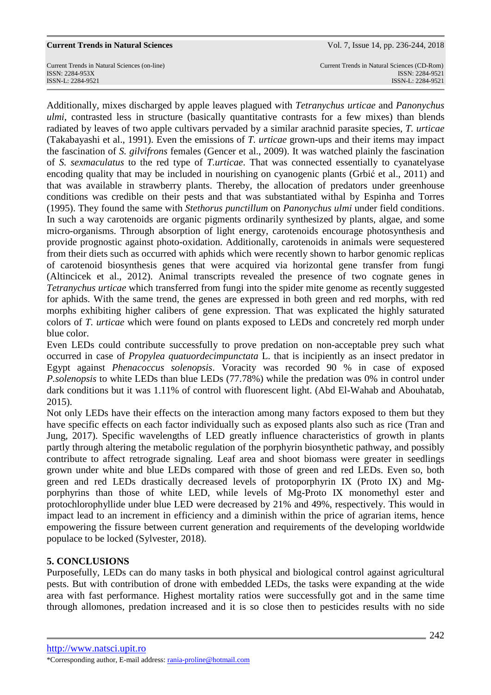Current Trends in Natural Sciences (on-line) Current Trends in Natural Sciences (CD-Rom) ISSN: 2284-953XISSN: 2284-9521 ISSN-L: 2284-9521 ISSN-L: 2284-9521

Additionally, mixes discharged by apple leaves plagued with *Tetranychus urticae* and *Panonychus ulmi*, contrasted less in structure (basically quantitative contrasts for a few mixes) than blends radiated by leaves of two apple cultivars pervaded by a similar arachnid parasite species, *T. urticae* (Takabayashi et al., 1991). Even the emissions of *T. urticae* grown-ups and their items may impact the fascination of *S. gilvifrons* females (Gencer et al., 2009). It was watched plainly the fascination of *S. sexmaculatus* to the red type of *T.urticae*. That was connected essentially to cyanatelyase encoding quality that may be included in nourishing on cyanogenic plants (Grbić et al., 2011) and that was available in strawberry plants. Thereby, the allocation of predators under greenhouse conditions was credible on their pests and that was substantiated withal by Espinha and Torres (1995). They found the same with *Stethorus punctillum* on *Panonychus ulmi* under field conditions. In such a way carotenoids are organic pigments ordinarily synthesized by plants, algae, and some micro-organisms. Through absorption of light energy, carotenoids encourage photosynthesis and provide prognostic against photo-oxidation. Additionally, carotenoids in animals were sequestered from their diets such as occurred with aphids which were recently shown to harbor genomic replicas of carotenoid biosynthesis genes that were acquired via horizontal gene transfer from fungi (Altincicek et al., 2012). Animal transcripts revealed the presence of two cognate genes in *Tetranychus urticae* which transferred from fungi into the spider mite genome as recently suggested for aphids. With the same trend, the genes are expressed in both green and red morphs, with red morphs exhibiting higher calibers of gene expression. That was explicated the highly saturated colors of *T. urticae* which were found on plants exposed to LEDs and concretely red morph under blue color.

Even LEDs could contribute successfully to prove predation on non-acceptable prey such what occurred in case of *Propylea quatuordecimpunctata* L. that is incipiently as an insect predator in Egypt against *Phenacoccus solenopsis*. Voracity was recorded 90 % in case of exposed *P.solenopsis* to white LEDs than blue LEDs (77.78%) while the predation was 0% in control under dark conditions but it was 1.11% of control with fluorescent light. (Abd El-Wahab and Abouhatab, 2015).

Not only LEDs have their effects on the interaction among many factors exposed to them but they have specific effects on each factor individually such as exposed plants also such as rice (Tran and Jung, 2017). Specific wavelengths of LED greatly influence characteristics of growth in plants partly through altering the metabolic regulation of the porphyrin biosynthetic pathway, and possibly contribute to affect retrograde signaling. Leaf area and shoot biomass were greater in seedlings grown under white and blue LEDs compared with those of green and red LEDs. Even so, both green and red LEDs drastically decreased levels of protoporphyrin IX (Proto IX) and Mgporphyrins than those of white LED, while levels of Mg-Proto IX monomethyl ester and protochlorophyllide under blue LED were decreased by 21% and 49%, respectively. This would in impact lead to an increment in efficiency and a diminish within the price of agrarian items, hence empowering the fissure between current generation and requirements of the developing worldwide populace to be locked (Sylvester, 2018).

# **5. CONCLUSIONS**

Purposefully, LEDs can do many tasks in both physical and biological control against agricultural pests. But with contribution of drone with embedded LEDs, the tasks were expanding at the wide area with fast performance. Highest mortality ratios were successfully got and in the same time through allomones, predation increased and it is so close then to pesticides results with no side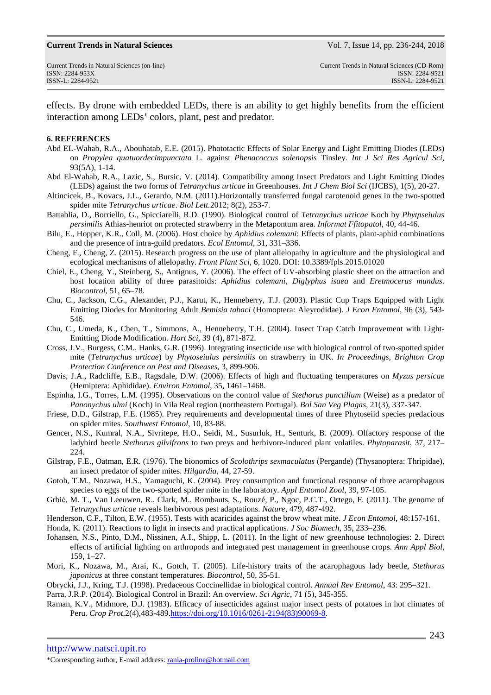#### **Current Trends in Natural Sciences………………………………………………...**Vol. 7, Issue 14, pp. 236-244, 2018

effects. By drone with embedded LEDs, there is an ability to get highly benefits from the efficient interaction among LEDs' colors, plant, pest and predator.

### **6. REFERENCES**

- Abd EL-Wahab, R.A., Abouhatab, E.E. (2015). Phototactic Effects of Solar Energy and Light Emitting Diodes (LEDs) on *Propylea quatuordecimpunctata* L. against *Phenacoccus solenopsis* Tinsley. *Int J Sci Res Agricul Sci,* 93(5A), 1-14.
- Abd El-Wahab, R.A., Lazic, S., Bursic, V. (2014). Compatibility among Insect Predators and Light Emitting Diodes (LEDs) against the two forms of *Tetranychus urticae* in Greenhouses. *Int J Chem Biol Sci* (IJCBS), 1(5), 20-27.
- Altincicek, B., Kovacs, J.L., Gerardo, N.M. (2011).Horizontally transferred fungal carotenoid genes in the two-spotted spider mite *Tetranychus urticae*. *Biol Lett.*2012; 8(2), 253-7.
- Battablia, D., Borriello, G., Spicciarelli, R.D. (1990). Biological control of *Tetranychus urticae* Koch by *Phytpseiulus persimilis* Athias-henriot on protected strawberry in the Metapontum area. *Informat Ffitopatol*, 40, 44-46.
- Bilu, E., Hopper, K.R., Coll, M. (2006). Host choice by *Aphidius colemani*: Effects of plants, plant-aphid combinations and the presence of intra-guild predators. *Ecol Entomol*, 31, 331–336.
- Cheng, F., Cheng, Z. (2015). Research progress on the use of plant allelopathy in agriculture and the physiological and ecological mechanisms of allelopathy. *Front Plant Sci*, 6, 1020. DOI: 10.3389/fpls.2015.01020
- Chiel, E., Cheng, Y., Steinberg, S., Antignus, Y. (2006). The effect of UV-absorbing plastic sheet on the attraction and host location ability of three parasitoids: *Aphidius colemani*, *Diglyphus isaea* and *Eretmocerus mundus*. *Biocontrol*, 51, 65–78.
- Chu, C., Jackson, C.G., Alexander, P.J., Karut, K., Henneberry, T.J. (2003). Plastic Cup Traps Equipped with Light Emitting Diodes for Monitoring Adult *Bemisia tabaci* (Homoptera: Aleyrodidae). *J Econ Entomol*, 96 (3), 543- 546.
- Chu, C., Umeda, K., Chen, T., Simmons, A., Henneberry, T.H. (2004). Insect Trap Catch Improvement with Light-Emitting Diode Modification. *Hort Sci,* 39 (4), 871-872.
- Cross, J.V., Burgess, C.M., Hanks, G.R. (1996). Integrating insecticide use with biological control of two-spotted spider mite (*Tetranychus urticae*) by *Phytoseiulus persimilis* on strawberry in UK. *In Proceedings, Brighton Crop Protection Conference on Pest and Diseases*, 3, 899-906.
- Davis, J.A., Radcliffe, E.B., Ragsdale, D.W. (2006). Effects of high and fluctuating temperatures on *Myzus persicae* (Hemiptera: Aphididae). *Environ Entomol*, 35, 1461–1468.
- Espinha, I.G., Torres, L.M. (1995). Observations on the control value of *Stethorus punctillum* (Weise) as a predator of *Panonychus ulmi* (Koch) in Vila Real region (northeastern Portugal). *Bol San Veg Plagas*, 21(3), 337-347.
- Friese, D.D., Gilstrap, F.E. (1985). Prey requirements and developmental times of three Phytoseiid species predacious on spider mites. *Southwest Entomol*, 10, 83-88.
- Gencer, N.S., Kumral, N.A., Sivritepe, H.O., Seidi, M., Susurluk, H., Senturk, B. (2009). Olfactory response of the ladybird beetle *Stethorus gilvifrons* to two preys and herbivore-induced plant volatiles. *Phytoparasit*, 37, 217– 224.
- Gilstrap, F.E., Oatman, E.R. (1976). The bionomics of *Scolothrips sexmaculatus* (Pergande) (Thysanoptera: Thripidae), an insect predator of spider mites. *Hilgardia*, 44, 27-59.
- Gotoh, T.M., Nozawa, H.S., Yamaguchi, K. (2004). Prey consumption and functional response of three acarophagous species to eggs of the two-spotted spider mite in the laboratory. *Appl Entomol Zool*, 39, 97-105.
- Grbić, M. T., Van Leeuwen, R., Clark, M., Rombauts, S., Rouzé, P., Ngoc, P.C.T., Ortego, F. (2011). The genome of *Tetranychus urticae* reveals herbivorous pest adaptations. *Nature*, 479, 487-492.
- Henderson, C.F., Tilton, E.W. (1955). Tests with acaricides against the brow wheat mite. *J Econ Entomol*, 48:157-161.
- Honda, K. (2011). Reactions to light in insects and practical applications. *J Soc Biomech*, 35, 233–236.
- Johansen, N.S., Pinto, D.M., Nissinen, A.I., Shipp, L. (2011). In the light of new greenhouse technologies: 2. Direct effects of artificial lighting on arthropods and integrated pest management in greenhouse crops. *Ann Appl Biol*, 159, 1–27.
- Mori, K., Nozawa, M., Arai, K., Gotch, T. (2005). Life-history traits of the acarophagous lady beetle, *Stethorus japonicus* at three constant temperatures. *Biocontrol*, 50, 35-51.
- Obrycki, J.J., Kring, T.J. (1998). Predaceous Coccinellidae in biological control. *Annual Rev Entomol*, 43: 295–321.

Parra, J.R.P. (2014). Biological Control in Brazil: An overview. *Sci Agric*, 71 (5), 345-355.

Raman, K.V., Midmore, D.J. (1983). Efficacy of insecticides against major insect pests of potatoes in hot climates of Peru. *Crop Prot*,2(4),483-489.https://doi.org/10.1016/0261-2194(83)90069-8.

http://www.natsci.upit.ro

<sup>\*</sup>Corresponding author, E-mail address: rania-proline@hotmail.com